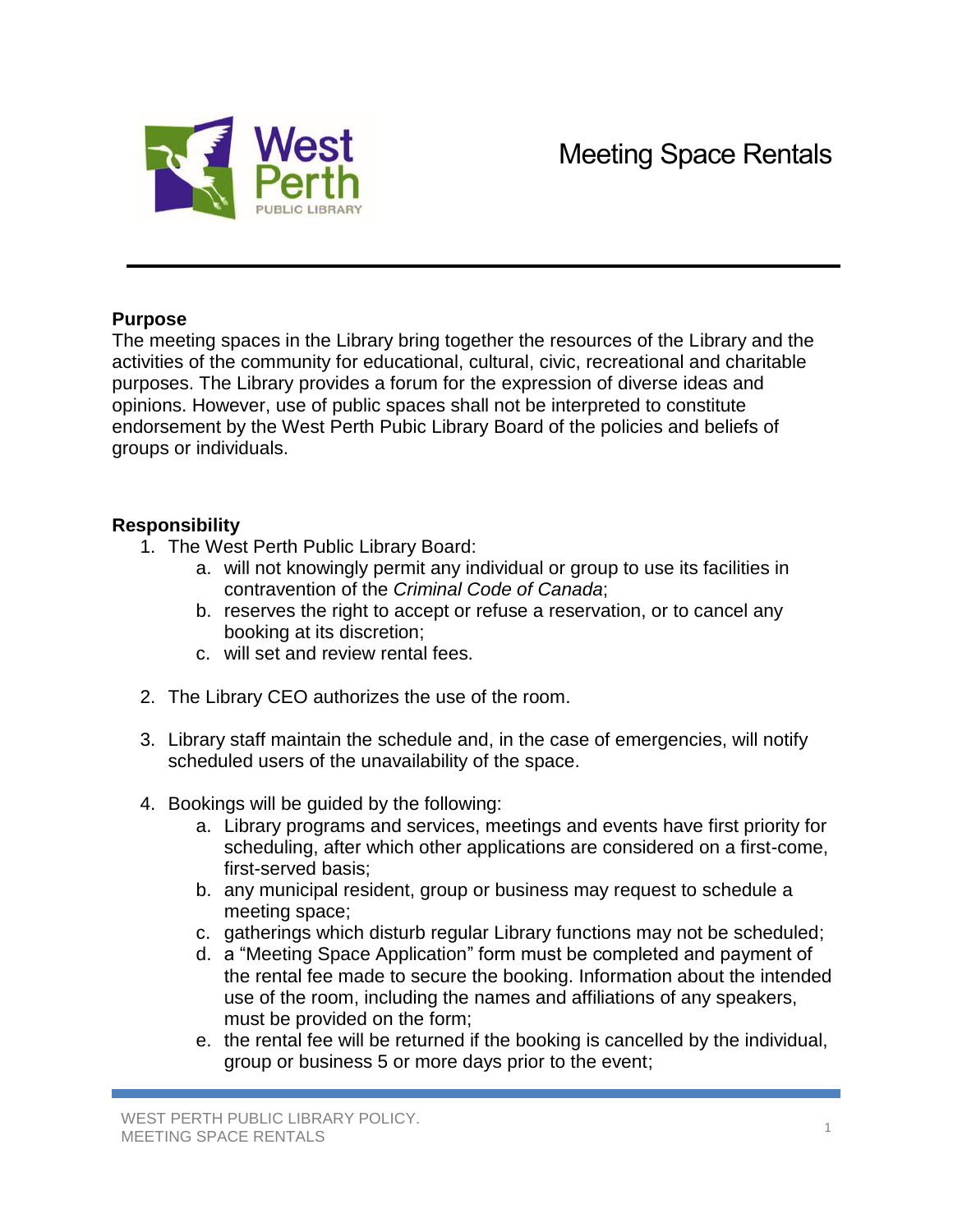

## **Purpose**

The meeting spaces in the Library bring together the resources of the Library and the activities of the community for educational, cultural, civic, recreational and charitable purposes. The Library provides a forum for the expression of diverse ideas and opinions. However, use of public spaces shall not be interpreted to constitute endorsement by the West Perth Pubic Library Board of the policies and beliefs of groups or individuals.

## **Responsibility**

- 1. The West Perth Public Library Board:
	- a. will not knowingly permit any individual or group to use its facilities in contravention of the *Criminal Code of Canada*;
	- b. reserves the right to accept or refuse a reservation, or to cancel any booking at its discretion;
	- c. will set and review rental fees.
- 2. The Library CEO authorizes the use of the room.
- 3. Library staff maintain the schedule and, in the case of emergencies, will notify scheduled users of the unavailability of the space.
- 4. Bookings will be guided by the following:
	- a. Library programs and services, meetings and events have first priority for scheduling, after which other applications are considered on a first-come, first-served basis;
	- b. any municipal resident, group or business may request to schedule a meeting space;
	- c. gatherings which disturb regular Library functions may not be scheduled;
	- d. a "Meeting Space Application" form must be completed and payment of the rental fee made to secure the booking. Information about the intended use of the room, including the names and affiliations of any speakers, must be provided on the form;
	- e. the rental fee will be returned if the booking is cancelled by the individual, group or business 5 or more days prior to the event;